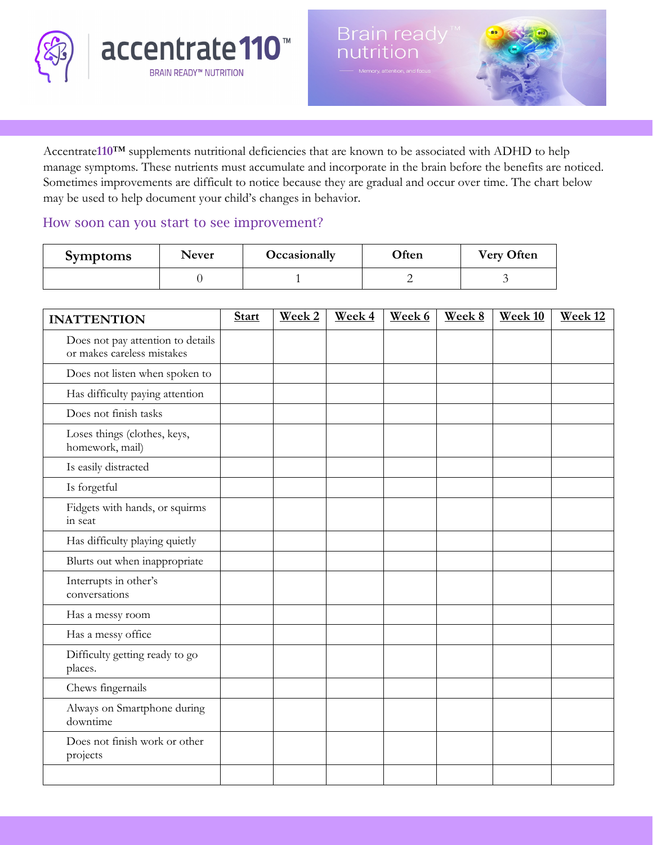



Accentrate**110**™ supplements nutritional deficiencies that are known to be associated with ADHD to help manage symptoms. These nutrients must accumulate and incorporate in the brain before the benefits are noticed. Sometimes improvements are difficult to notice because they are gradual and occur over time. The chart below may be used to help document your child's changes in behavior.

## How soon can you start to see improvement?

| <b>Symptoms</b> | <b>Never</b> | Occasionally | Often | <b>Very Often</b> |  |
|-----------------|--------------|--------------|-------|-------------------|--|
|                 |              |              |       |                   |  |

| <b>INATTENTION</b>                                              | <b>Start</b> | Week 2 | Week 4 | Week 6 | Week 8 | Week 10 | Week 12 |
|-----------------------------------------------------------------|--------------|--------|--------|--------|--------|---------|---------|
| Does not pay attention to details<br>or makes careless mistakes |              |        |        |        |        |         |         |
| Does not listen when spoken to                                  |              |        |        |        |        |         |         |
| Has difficulty paying attention                                 |              |        |        |        |        |         |         |
| Does not finish tasks                                           |              |        |        |        |        |         |         |
| Loses things (clothes, keys,<br>homework, mail)                 |              |        |        |        |        |         |         |
| Is easily distracted                                            |              |        |        |        |        |         |         |
| Is forgetful                                                    |              |        |        |        |        |         |         |
| Fidgets with hands, or squirms<br>in seat                       |              |        |        |        |        |         |         |
| Has difficulty playing quietly                                  |              |        |        |        |        |         |         |
| Blurts out when inappropriate                                   |              |        |        |        |        |         |         |
| Interrupts in other's<br>conversations                          |              |        |        |        |        |         |         |
| Has a messy room                                                |              |        |        |        |        |         |         |
| Has a messy office                                              |              |        |        |        |        |         |         |
| Difficulty getting ready to go<br>places.                       |              |        |        |        |        |         |         |
| Chews fingernails                                               |              |        |        |        |        |         |         |
| Always on Smartphone during<br>downtime                         |              |        |        |        |        |         |         |
| Does not finish work or other<br>projects                       |              |        |        |        |        |         |         |
|                                                                 |              |        |        |        |        |         |         |